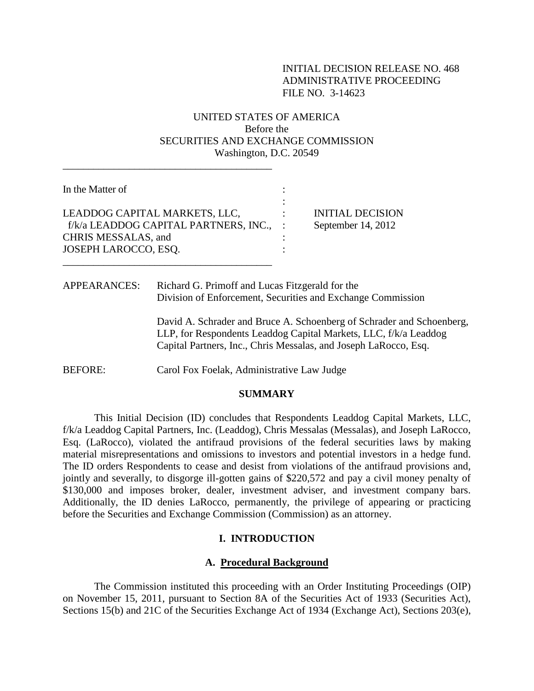# INITIAL DECISION RELEASE NO. 468 ADMINISTRATIVE PROCEEDING FILE NO. 3-14623

# UNITED STATES OF AMERICA Before the SECURITIES AND EXCHANGE COMMISSION Washington, D.C. 20549

| In the Matter of                                                                                                        |                                               |
|-------------------------------------------------------------------------------------------------------------------------|-----------------------------------------------|
| LEADDOG CAPITAL MARKETS, LLC,<br>f/k/a LEADDOG CAPITAL PARTNERS, INC., :<br>CHRIS MESSALAS, and<br>JOSEPH LAROCCO, ESQ. | <b>INITIAL DECISION</b><br>September 14, 2012 |

 $\overline{\phantom{a}}$  , and the set of the set of the set of the set of the set of the set of the set of the set of the set of the set of the set of the set of the set of the set of the set of the set of the set of the set of the s

APPEARANCES: Richard G. Primoff and Lucas Fitzgerald for the Division of Enforcement, Securities and Exchange Commission

> David A. Schrader and Bruce A. Schoenberg of Schrader and Schoenberg, LLP, for Respondents Leaddog Capital Markets, LLC, f/k/a Leaddog Capital Partners, Inc., Chris Messalas, and Joseph LaRocco, Esq.

BEFORE: Carol Fox Foelak, Administrative Law Judge

#### **SUMMARY**

This Initial Decision (ID) concludes that Respondents Leaddog Capital Markets, LLC, f/k/a Leaddog Capital Partners, Inc. (Leaddog), Chris Messalas (Messalas), and Joseph LaRocco, Esq. (LaRocco), violated the antifraud provisions of the federal securities laws by making material misrepresentations and omissions to investors and potential investors in a hedge fund. The ID orders Respondents to cease and desist from violations of the antifraud provisions and, jointly and severally, to disgorge ill-gotten gains of \$220,572 and pay a civil money penalty of \$130,000 and imposes broker, dealer, investment adviser, and investment company bars. Additionally, the ID denies LaRocco, permanently, the privilege of appearing or practicing before the Securities and Exchange Commission (Commission) as an attorney.

## **I. INTRODUCTION**

#### **A. Procedural Background**

The Commission instituted this proceeding with an Order Instituting Proceedings (OIP) on November 15, 2011, pursuant to Section 8A of the Securities Act of 1933 (Securities Act), Sections 15(b) and 21C of the Securities Exchange Act of 1934 (Exchange Act), Sections 203(e),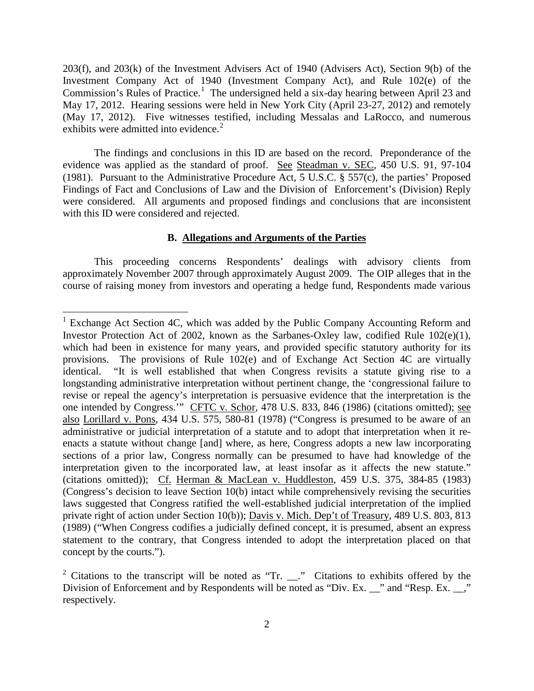203(f), and 203(k) of the Investment Advisers Act of 1940 (Advisers Act), Section 9(b) of the Investment Company Act of 1940 (Investment Company Act), and Rule 102(e) of the Commission's Rules of Practice.<sup>[1](#page-1-0)</sup> The undersigned held a six-day hearing between April 23 and May 17, 2012. Hearing sessions were held in New York City (April 23-27, 2012) and remotely (May 17, 2012). Five witnesses testified, including Messalas and LaRocco, and numerous exhibits were admitted into evidence. $2$ 

The findings and conclusions in this ID are based on the record. Preponderance of the evidence was applied as the standard of proof. See Steadman v. SEC, 450 U.S. 91, 97-104 (1981). Pursuant to the Administrative Procedure Act, 5 U.S.C. § 557(c), the parties' Proposed Findings of Fact and Conclusions of Law and the Division of Enforcement's (Division) Reply were considered. All arguments and proposed findings and conclusions that are inconsistent with this ID were considered and rejected.

## **B. Allegations and Arguments of the Parties**

This proceeding concerns Respondents' dealings with advisory clients from approximately November 2007 through approximately August 2009. The OIP alleges that in the course of raising money from investors and operating a hedge fund, Respondents made various

<span id="page-1-0"></span><sup>&</sup>lt;sup>1</sup> Exchange Act Section 4C, which was added by the Public Company Accounting Reform and Investor Protection Act of 2002, known as the Sarbanes-Oxley law, codified Rule 102(e)(1), which had been in existence for many years, and provided specific statutory authority for its provisions. The provisions of Rule 102(e) and of Exchange Act Section 4C are virtually identical. "It is well established that when Congress revisits a statute giving rise to a longstanding administrative interpretation without pertinent change, the 'congressional failure to revise or repeal the agency's interpretation is persuasive evidence that the interpretation is the one intended by Congress.'" CFTC v. Schor, 478 U.S. 833, 846 (1986) (citations omitted); see also Lorillard v. Pons, 434 U.S. 575, 580-81 (1978) ("Congress is presumed to be aware of an administrative or judicial interpretation of a statute and to adopt that interpretation when it reenacts a statute without change [and] where, as here, Congress adopts a new law incorporating sections of a prior law, Congress normally can be presumed to have had knowledge of the interpretation given to the incorporated law, at least insofar as it affects the new statute." (citations omitted)); Cf. Herman & MacLean v. Huddleston, 459 U.S. 375, 384-85 (1983) (Congress's decision to leave Section 10(b) intact while comprehensively revising the securities laws suggested that Congress ratified the well-established judicial interpretation of the implied private right of action under Section 10(b)); Davis v. Mich. Dep't of Treasury, 489 U.S. 803, 813 (1989) ("When Congress codifies a judicially defined concept, it is presumed, absent an express statement to the contrary, that Congress intended to adopt the interpretation placed on that concept by the courts.").

<span id="page-1-1"></span><sup>&</sup>lt;sup>2</sup> Citations to the transcript will be noted as "Tr.  $\Box$ " Citations to exhibits offered by the Division of Enforcement and by Respondents will be noted as "Div. Ex. \_\_" and "Resp. Ex. \_\_," respectively.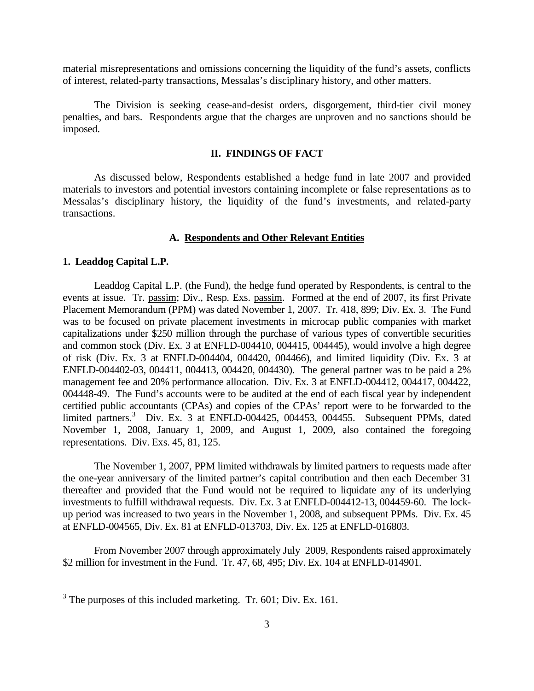material misrepresentations and omissions concerning the liquidity of the fund's assets, conflicts of interest, related-party transactions, Messalas's disciplinary history, and other matters.

The Division is seeking cease-and-desist orders, disgorgement, third-tier civil money penalties, and bars. Respondents argue that the charges are unproven and no sanctions should be imposed.

## **II. FINDINGS OF FACT**

As discussed below, Respondents established a hedge fund in late 2007 and provided materials to investors and potential investors containing incomplete or false representations as to Messalas's disciplinary history, the liquidity of the fund's investments, and related-party transactions.

## **A. Respondents and Other Relevant Entities**

#### **1. Leaddog Capital L.P.**

Leaddog Capital L.P. (the Fund), the hedge fund operated by Respondents, is central to the events at issue. Tr. passim; Div., Resp. Exs. passim. Formed at the end of 2007, its first Private Placement Memorandum (PPM) was dated November 1, 2007. Tr. 418, 899; Div. Ex. 3. The Fund was to be focused on private placement investments in microcap public companies with market capitalizations under \$250 million through the purchase of various types of convertible securities and common stock (Div. Ex. 3 at ENFLD-004410, 004415, 004445), would involve a high degree of risk (Div. Ex. 3 at ENFLD-004404, 004420, 004466), and limited liquidity (Div. Ex. 3 at ENFLD-004402-03, 004411, 004413, 004420, 004430). The general partner was to be paid a 2% management fee and 20% performance allocation. Div. Ex. 3 at ENFLD-004412, 004417, 004422, 004448-49. The Fund's accounts were to be audited at the end of each fiscal year by independent certified public accountants (CPAs) and copies of the CPAs' report were to be forwarded to the limited partners.<sup>[3](#page-2-0)</sup> Div. Ex. 3 at ENFLD-004425, 004453, 004455. Subsequent PPMs, dated November 1, 2008, January 1, 2009, and August 1, 2009, also contained the foregoing representations. Div. Exs. 45, 81, 125.

The November 1, 2007, PPM limited withdrawals by limited partners to requests made after the one-year anniversary of the limited partner's capital contribution and then each December 31 thereafter and provided that the Fund would not be required to liquidate any of its underlying investments to fulfill withdrawal requests. Div. Ex. 3 at ENFLD-004412-13, 004459-60. The lockup period was increased to two years in the November 1, 2008, and subsequent PPMs. Div. Ex. 45 at ENFLD-004565, Div. Ex. 81 at ENFLD-013703, Div. Ex. 125 at ENFLD-016803.

From November 2007 through approximately July 2009, Respondents raised approximately \$2 million for investment in the Fund. Tr. 47, 68, 495; Div. Ex. 104 at ENFLD-014901.

<span id="page-2-0"></span><sup>&</sup>lt;sup>3</sup> The purposes of this included marketing. Tr. 601; Div. Ex. 161.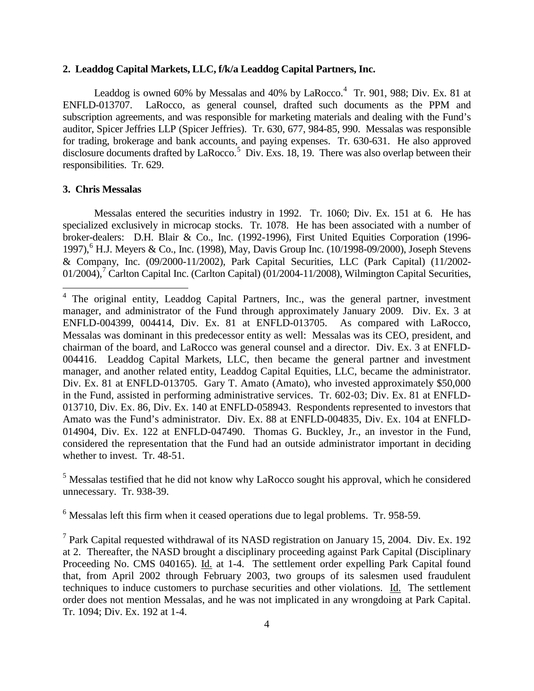## **2. Leaddog Capital Markets, LLC, f/k/a Leaddog Capital Partners, Inc.**

Leaddog is owned 60% by Messalas and [4](#page-3-0)0% by LaRocco.<sup>4</sup> Tr. 901, 988; Div. Ex. 81 at ENFLD-013707. LaRocco, as general counsel, drafted such documents as the PPM and subscription agreements, and was responsible for marketing materials and dealing with the Fund's auditor, Spicer Jeffries LLP (Spicer Jeffries). Tr. 630, 677, 984-85, 990. Messalas was responsible for trading, brokerage and bank accounts, and paying expenses. Tr. 630-631. He also approved disclosure documents drafted by LaRocco.<sup>[5](#page-3-1)</sup> Div. Exs. 18, 19. There was also overlap between their responsibilities. Tr. 629.

## **3. Chris Messalas**

Messalas entered the securities industry in 1992. Tr. 1060; Div. Ex. 151 at 6. He has specialized exclusively in microcap stocks. Tr. 1078. He has been associated with a number of broker-dealers: D.H. Blair & Co., Inc. (1992-1996), First United Equities Corporation (1996- 1997),<sup>[6](#page-3-2)</sup> H.J. Meyers & Co., Inc. (1998), May, Davis Group Inc. (10/1998-09/2000), Joseph Stevens & Company, Inc. (09/2000-11/2002), Park Capital Securities, LLC (Park Capital) (11/2002-  $01/2004$ ,<sup>[7](#page-3-3)</sup> Carlton Capital Inc. (Carlton Capital) (01/2004-11/2008), Wilmington Capital Securities,

<span id="page-3-1"></span><sup>5</sup> Messalas testified that he did not know why LaRocco sought his approval, which he considered unnecessary. Tr. 938-39.

<span id="page-3-2"></span> $6$  Messalas left this firm when it ceased operations due to legal problems. Tr. 958-59.

<span id="page-3-3"></span> $<sup>7</sup>$  Park Capital requested withdrawal of its NASD registration on January 15, 2004. Div. Ex. 192</sup> at 2. Thereafter, the NASD brought a disciplinary proceeding against Park Capital (Disciplinary Proceeding No. CMS 040165). Id. at 1-4. The settlement order expelling Park Capital found that, from April 2002 through February 2003, two groups of its salesmen used fraudulent techniques to induce customers to purchase securities and other violations. Id. The settlement order does not mention Messalas, and he was not implicated in any wrongdoing at Park Capital. Tr. 1094; Div. Ex. 192 at 1-4.

<span id="page-3-0"></span> $4$  The original entity, Leaddog Capital Partners, Inc., was the general partner, investment manager, and administrator of the Fund through approximately January 2009. Div. Ex. 3 at ENFLD-004399, 004414, Div. Ex. 81 at ENFLD-013705. As compared with LaRocco, Messalas was dominant in this predecessor entity as well: Messalas was its CEO, president, and chairman of the board, and LaRocco was general counsel and a director. Div. Ex. 3 at ENFLD-004416. Leaddog Capital Markets, LLC, then became the general partner and investment manager, and another related entity, Leaddog Capital Equities, LLC, became the administrator. Div. Ex. 81 at ENFLD-013705. Gary T. Amato (Amato), who invested approximately \$50,000 in the Fund, assisted in performing administrative services. Tr. 602-03; Div. Ex. 81 at ENFLD-013710, Div. Ex. 86, Div. Ex. 140 at ENFLD-058943. Respondents represented to investors that Amato was the Fund's administrator. Div. Ex. 88 at ENFLD-004835, Div. Ex. 104 at ENFLD-014904, Div. Ex. 122 at ENFLD-047490. Thomas G. Buckley, Jr., an investor in the Fund, considered the representation that the Fund had an outside administrator important in deciding whether to invest. Tr. 48-51.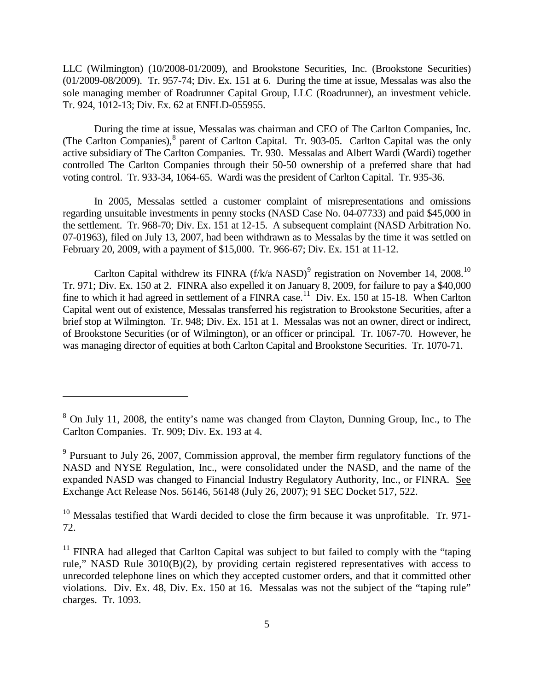LLC (Wilmington) (10/2008-01/2009), and Brookstone Securities, Inc. (Brookstone Securities) (01/2009-08/2009). Tr. 957-74; Div. Ex. 151 at 6. During the time at issue, Messalas was also the sole managing member of Roadrunner Capital Group, LLC (Roadrunner), an investment vehicle. Tr. 924, 1012-13; Div. Ex. 62 at ENFLD-055955.

During the time at issue, Messalas was chairman and CEO of The Carlton Companies, Inc. (The Carlton Companies), <sup>[8](#page-4-0)</sup> parent of Carlton Capital. Tr. 903-05. Carlton Capital was the only active subsidiary of The Carlton Companies. Tr. 930. Messalas and Albert Wardi (Wardi) together controlled The Carlton Companies through their 50-50 ownership of a preferred share that had voting control. Tr. 933-34, 1064-65. Wardi was the president of Carlton Capital. Tr. 935-36.

In 2005, Messalas settled a customer complaint of misrepresentations and omissions regarding unsuitable investments in penny stocks (NASD Case No. 04-07733) and paid \$45,000 in the settlement. Tr. 968-70; Div. Ex. 151 at 12-15. A subsequent complaint (NASD Arbitration No. 07-01963), filed on July 13, 2007, had been withdrawn as to Messalas by the time it was settled on February 20, 2009, with a payment of \$15,000. Tr. 966-67; Div. Ex. 151 at 11-12.

Carlton Capital withdrew its FINRA  $(f/k/a$  NASD)<sup>[9](#page-4-1)</sup> registration on November 14, 2008.<sup>[10](#page-4-2)</sup> Tr. 971; Div. Ex. 150 at 2. FINRA also expelled it on January 8, 2009, for failure to pay a \$40,000 fine to which it had agreed in settlement of a FINRA case.<sup>11</sup> Div. Ex. 150 at 15-18. When Carlton Capital went out of existence, Messalas transferred his registration to Brookstone Securities, after a brief stop at Wilmington. Tr. 948; Div. Ex. 151 at 1. Messalas was not an owner, direct or indirect, of Brookstone Securities (or of Wilmington), or an officer or principal. Tr. 1067-70. However, he was managing director of equities at both Carlton Capital and Brookstone Securities. Tr. 1070-71.

 $\overline{a}$ 

<span id="page-4-0"></span><sup>8</sup> On July 11, 2008, the entity's name was changed from Clayton, Dunning Group, Inc., to The Carlton Companies. Tr. 909; Div. Ex. 193 at 4.

<span id="page-4-1"></span> $9$  Pursuant to July 26, 2007, Commission approval, the member firm regulatory functions of the NASD and NYSE Regulation, Inc., were consolidated under the NASD, and the name of the expanded NASD was changed to Financial Industry Regulatory Authority, Inc., or FINRA. See Exchange Act Release Nos. 56146, 56148 (July 26, 2007); 91 SEC Docket 517, 522.

<span id="page-4-2"></span> $10$  Messalas testified that Wardi decided to close the firm because it was unprofitable. Tr. 971-72.

<span id="page-4-3"></span><sup>&</sup>lt;sup>11</sup> FINRA had alleged that Carlton Capital was subject to but failed to comply with the "taping" rule," NASD Rule 3010(B)(2), by providing certain registered representatives with access to unrecorded telephone lines on which they accepted customer orders, and that it committed other violations. Div. Ex. 48, Div. Ex. 150 at 16. Messalas was not the subject of the "taping rule" charges. Tr. 1093.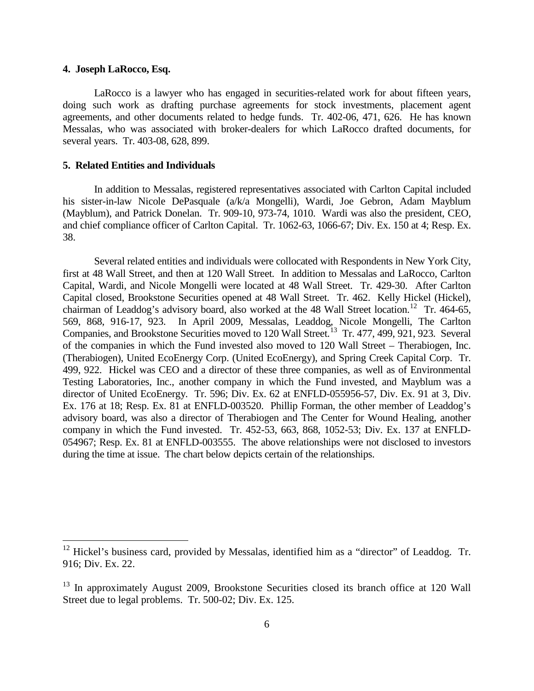## **4. Joseph LaRocco, Esq.**

LaRocco is a lawyer who has engaged in securities-related work for about fifteen years, doing such work as drafting purchase agreements for stock investments, placement agent agreements, and other documents related to hedge funds. Tr. 402-06, 471, 626. He has known Messalas, who was associated with broker-dealers for which LaRocco drafted documents, for several years. Tr. 403-08, 628, 899.

### **5. Related Entities and Individuals**

In addition to Messalas, registered representatives associated with Carlton Capital included his sister-in-law Nicole DePasquale (a/k/a Mongelli), Wardi, Joe Gebron, Adam Mayblum (Mayblum), and Patrick Donelan. Tr. 909-10, 973-74, 1010. Wardi was also the president, CEO, and chief compliance officer of Carlton Capital. Tr. 1062-63, 1066-67; Div. Ex. 150 at 4; Resp. Ex. 38.

Several related entities and individuals were collocated with Respondents in New York City, first at 48 Wall Street, and then at 120 Wall Street. In addition to Messalas and LaRocco, Carlton Capital, Wardi, and Nicole Mongelli were located at 48 Wall Street. Tr. 429-30. After Carlton Capital closed, Brookstone Securities opened at 48 Wall Street. Tr. 462. Kelly Hickel (Hickel), chairman of Leaddog's advisory board, also worked at the 48 Wall Street location.<sup>[12](#page-5-0)</sup> Tr. 464-65, 569, 868, 916-17, 923. In April 2009, Messalas, Leaddog, Nicole Mongelli, The Carlton Companies, and Brookstone Securities moved to 120 Wall Street.<sup>13</sup> Tr. 477, 499, 921, 923. Several of the companies in which the Fund invested also moved to 120 Wall Street – Therabiogen, Inc. (Therabiogen), United EcoEnergy Corp. (United EcoEnergy), and Spring Creek Capital Corp. Tr. 499, 922. Hickel was CEO and a director of these three companies, as well as of Environmental Testing Laboratories, Inc., another company in which the Fund invested, and Mayblum was a director of United EcoEnergy. Tr. 596; Div. Ex. 62 at ENFLD-055956-57, Div. Ex. 91 at 3, Div. Ex. 176 at 18; Resp. Ex. 81 at ENFLD-003520. Phillip Forman, the other member of Leaddog's advisory board, was also a director of Therabiogen and The Center for Wound Healing, another company in which the Fund invested. Tr. 452-53, 663, 868, 1052-53; Div. Ex. 137 at ENFLD-054967; Resp. Ex. 81 at ENFLD-003555. The above relationships were not disclosed to investors during the time at issue. The chart below depicts certain of the relationships.

<span id="page-5-0"></span> $12$  Hickel's business card, provided by Messalas, identified him as a "director" of Leaddog. Tr. 916; Div. Ex. 22.

<span id="page-5-1"></span><sup>&</sup>lt;sup>13</sup> In approximately August 2009, Brookstone Securities closed its branch office at 120 Wall Street due to legal problems. Tr. 500-02; Div. Ex. 125.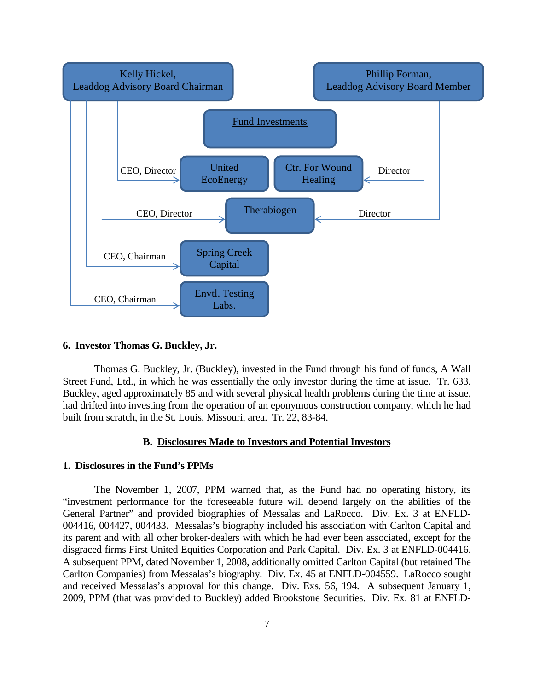

## **6. Investor Thomas G. Buckley, Jr.**

Thomas G. Buckley, Jr. (Buckley), invested in the Fund through his fund of funds, A Wall Street Fund, Ltd., in which he was essentially the only investor during the time at issue. Tr. 633. Buckley, aged approximately 85 and with several physical health problems during the time at issue, had drifted into investing from the operation of an eponymous construction company, which he had built from scratch, in the St. Louis, Missouri, area. Tr. 22, 83-84.

## **B. Disclosures Made to Investors and Potential Investors**

#### **1. Disclosures in the Fund's PPMs**

The November 1, 2007, PPM warned that, as the Fund had no operating history, its "investment performance for the foreseeable future will depend largely on the abilities of the General Partner" and provided biographies of Messalas and LaRocco. Div. Ex. 3 at ENFLD-004416, 004427, 004433. Messalas's biography included his association with Carlton Capital and its parent and with all other broker-dealers with which he had ever been associated, except for the disgraced firms First United Equities Corporation and Park Capital. Div. Ex. 3 at ENFLD-004416. A subsequent PPM, dated November 1, 2008, additionally omitted Carlton Capital (but retained The Carlton Companies) from Messalas's biography. Div. Ex. 45 at ENFLD-004559. LaRocco sought and received Messalas's approval for this change. Div. Exs. 56, 194. A subsequent January 1, 2009, PPM (that was provided to Buckley) added Brookstone Securities. Div. Ex. 81 at ENFLD-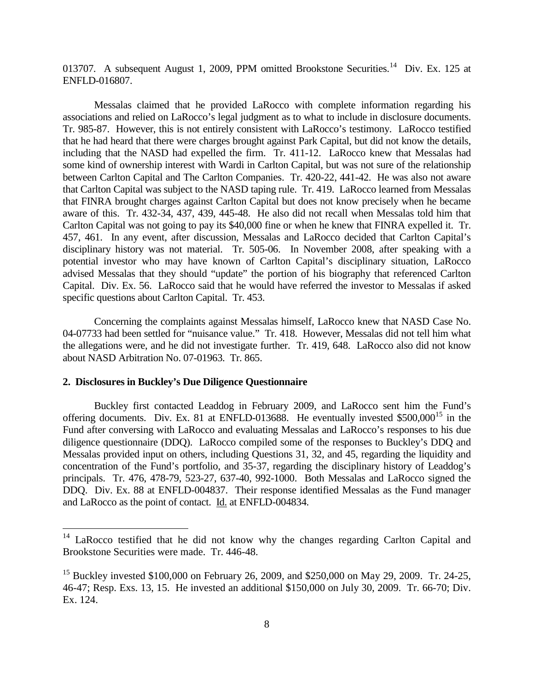013707. A subsequent August 1, 2009, PPM omitted Brookstone Securities.<sup>[14](#page-7-0)</sup> Div. Ex. 125 at ENFLD-016807.

Messalas claimed that he provided LaRocco with complete information regarding his associations and relied on LaRocco's legal judgment as to what to include in disclosure documents. Tr. 985-87. However, this is not entirely consistent with LaRocco's testimony. LaRocco testified that he had heard that there were charges brought against Park Capital, but did not know the details, including that the NASD had expelled the firm. Tr. 411-12. LaRocco knew that Messalas had some kind of ownership interest with Wardi in Carlton Capital, but was not sure of the relationship between Carlton Capital and The Carlton Companies. Tr. 420-22, 441-42. He was also not aware that Carlton Capital was subject to the NASD taping rule. Tr. 419. LaRocco learned from Messalas that FINRA brought charges against Carlton Capital but does not know precisely when he became aware of this. Tr. 432-34, 437, 439, 445-48. He also did not recall when Messalas told him that Carlton Capital was not going to pay its \$40,000 fine or when he knew that FINRA expelled it. Tr. 457, 461. In any event, after discussion, Messalas and LaRocco decided that Carlton Capital's disciplinary history was not material. Tr. 505-06. In November 2008, after speaking with a potential investor who may have known of Carlton Capital's disciplinary situation, LaRocco advised Messalas that they should "update" the portion of his biography that referenced Carlton Capital. Div. Ex. 56. LaRocco said that he would have referred the investor to Messalas if asked specific questions about Carlton Capital. Tr. 453.

Concerning the complaints against Messalas himself, LaRocco knew that NASD Case No. 04-07733 had been settled for "nuisance value." Tr. 418. However, Messalas did not tell him what the allegations were, and he did not investigate further. Tr. 419, 648. LaRocco also did not know about NASD Arbitration No. 07-01963. Tr. 865.

## **2. Disclosures in Buckley's Due Diligence Questionnaire**

Buckley first contacted Leaddog in February 2009, and LaRocco sent him the Fund's offering documents. Div. Ex. 81 at ENFLD-013688. He eventually invested  $$500,000^{15}$  $$500,000^{15}$  $$500,000^{15}$  in the Fund after conversing with LaRocco and evaluating Messalas and LaRocco's responses to his due diligence questionnaire (DDQ). LaRocco compiled some of the responses to Buckley's DDQ and Messalas provided input on others, including Questions 31, 32, and 45, regarding the liquidity and concentration of the Fund's portfolio, and 35-37, regarding the disciplinary history of Leaddog's principals. Tr. 476, 478-79, 523-27, 637-40, 992-1000. Both Messalas and LaRocco signed the DDQ. Div. Ex. 88 at ENFLD-004837. Their response identified Messalas as the Fund manager and LaRocco as the point of contact. Id. at ENFLD-004834.

<span id="page-7-0"></span><sup>&</sup>lt;sup>14</sup> LaRocco testified that he did not know why the changes regarding Carlton Capital and Brookstone Securities were made. Tr. 446-48.

<span id="page-7-1"></span><sup>&</sup>lt;sup>15</sup> Buckley invested \$100,000 on February 26, 2009, and \$250,000 on May 29, 2009. Tr. 24-25, 46-47; Resp. Exs. 13, 15. He invested an additional \$150,000 on July 30, 2009. Tr. 66-70; Div. Ex. 124.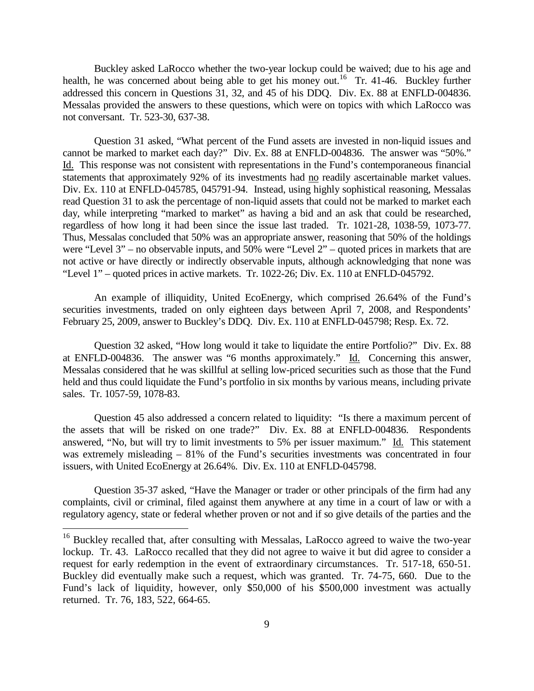Buckley asked LaRocco whether the two-year lockup could be waived; due to his age and health, he was concerned about being able to get his money out.<sup>[16](#page-8-0)</sup> Tr. 41-46. Buckley further addressed this concern in Questions 31, 32, and 45 of his DDQ. Div. Ex. 88 at ENFLD-004836. Messalas provided the answers to these questions, which were on topics with which LaRocco was not conversant. Tr. 523-30, 637-38.

Question 31 asked, "What percent of the Fund assets are invested in non-liquid issues and cannot be marked to market each day?" Div. Ex. 88 at ENFLD-004836. The answer was "50%." Id. This response was not consistent with representations in the Fund's contemporaneous financial statements that approximately 92% of its investments had no readily ascertainable market values. Div. Ex. 110 at ENFLD-045785, 045791-94. Instead, using highly sophistical reasoning, Messalas read Question 31 to ask the percentage of non-liquid assets that could not be marked to market each day, while interpreting "marked to market" as having a bid and an ask that could be researched, regardless of how long it had been since the issue last traded. Tr. 1021-28, 1038-59, 1073-77. Thus, Messalas concluded that 50% was an appropriate answer, reasoning that 50% of the holdings were "Level 3" – no observable inputs, and 50% were "Level 2" – quoted prices in markets that are not active or have directly or indirectly observable inputs, although acknowledging that none was "Level 1" – quoted prices in active markets. Tr. 1022-26; Div. Ex. 110 at ENFLD-045792.

An example of illiquidity, United EcoEnergy, which comprised 26.64% of the Fund's securities investments, traded on only eighteen days between April 7, 2008, and Respondents' February 25, 2009, answer to Buckley's DDQ. Div. Ex. 110 at ENFLD-045798; Resp. Ex. 72.

Question 32 asked, "How long would it take to liquidate the entire Portfolio?" Div. Ex. 88 at ENFLD-004836. The answer was "6 months approximately." Id. Concerning this answer, Messalas considered that he was skillful at selling low-priced securities such as those that the Fund held and thus could liquidate the Fund's portfolio in six months by various means, including private sales. Tr. 1057-59, 1078-83.

Question 45 also addressed a concern related to liquidity: "Is there a maximum percent of the assets that will be risked on one trade?" Div. Ex. 88 at ENFLD-004836. Respondents answered, "No, but will try to limit investments to 5% per issuer maximum." Id. This statement was extremely misleading – 81% of the Fund's securities investments was concentrated in four issuers, with United EcoEnergy at 26.64%. Div. Ex. 110 at ENFLD-045798.

Question 35-37 asked, "Have the Manager or trader or other principals of the firm had any complaints, civil or criminal, filed against them anywhere at any time in a court of law or with a regulatory agency, state or federal whether proven or not and if so give details of the parties and the

<span id="page-8-0"></span> $16$  Buckley recalled that, after consulting with Messalas, LaRocco agreed to waive the two-year lockup. Tr. 43. LaRocco recalled that they did not agree to waive it but did agree to consider a request for early redemption in the event of extraordinary circumstances. Tr. 517-18, 650-51. Buckley did eventually make such a request, which was granted. Tr. 74-75, 660. Due to the Fund's lack of liquidity, however, only \$50,000 of his \$500,000 investment was actually returned. Tr. 76, 183, 522, 664-65.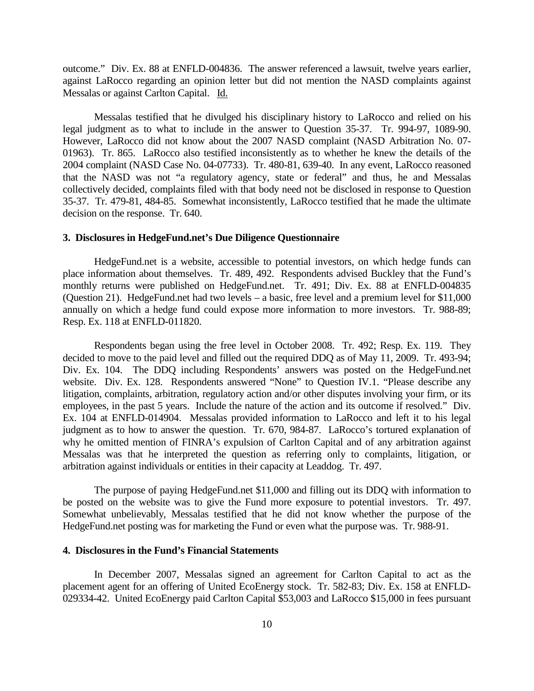outcome." Div. Ex. 88 at ENFLD-004836. The answer referenced a lawsuit, twelve years earlier, against LaRocco regarding an opinion letter but did not mention the NASD complaints against Messalas or against Carlton Capital. Id.

Messalas testified that he divulged his disciplinary history to LaRocco and relied on his legal judgment as to what to include in the answer to Question 35-37. Tr. 994-97, 1089-90. However, LaRocco did not know about the 2007 NASD complaint (NASD Arbitration No. 07- 01963). Tr. 865. LaRocco also testified inconsistently as to whether he knew the details of the 2004 complaint (NASD Case No. 04-07733). Tr. 480-81, 639-40. In any event, LaRocco reasoned that the NASD was not "a regulatory agency, state or federal" and thus, he and Messalas collectively decided, complaints filed with that body need not be disclosed in response to Question 35-37. Tr. 479-81, 484-85. Somewhat inconsistently, LaRocco testified that he made the ultimate decision on the response. Tr. 640.

#### **3. Disclosures in HedgeFund.net's Due Diligence Questionnaire**

HedgeFund.net is a website, accessible to potential investors, on which hedge funds can place information about themselves. Tr. 489, 492. Respondents advised Buckley that the Fund's monthly returns were published on HedgeFund.net. Tr. 491; Div. Ex. 88 at ENFLD-004835 (Question 21). HedgeFund.net had two levels – a basic, free level and a premium level for \$11,000 annually on which a hedge fund could expose more information to more investors. Tr. 988-89; Resp. Ex. 118 at ENFLD-011820.

Respondents began using the free level in October 2008. Tr. 492; Resp. Ex. 119. They decided to move to the paid level and filled out the required DDQ as of May 11, 2009. Tr. 493-94; Div. Ex. 104. The DDQ including Respondents' answers was posted on the HedgeFund.net website. Div. Ex. 128. Respondents answered "None" to Question IV.1. "Please describe any litigation, complaints, arbitration, regulatory action and/or other disputes involving your firm, or its employees, in the past 5 years. Include the nature of the action and its outcome if resolved." Div. Ex. 104 at ENFLD-014904. Messalas provided information to LaRocco and left it to his legal judgment as to how to answer the question. Tr. 670, 984-87. LaRocco's tortured explanation of why he omitted mention of FINRA's expulsion of Carlton Capital and of any arbitration against Messalas was that he interpreted the question as referring only to complaints, litigation, or arbitration against individuals or entities in their capacity at Leaddog. Tr. 497.

The purpose of paying HedgeFund.net \$11,000 and filling out its DDQ with information to be posted on the website was to give the Fund more exposure to potential investors. Tr. 497. Somewhat unbelievably, Messalas testified that he did not know whether the purpose of the HedgeFund.net posting was for marketing the Fund or even what the purpose was. Tr. 988-91.

#### **4. Disclosures in the Fund's Financial Statements**

In December 2007, Messalas signed an agreement for Carlton Capital to act as the placement agent for an offering of United EcoEnergy stock. Tr. 582-83; Div. Ex. 158 at ENFLD-029334-42. United EcoEnergy paid Carlton Capital \$53,003 and LaRocco \$15,000 in fees pursuant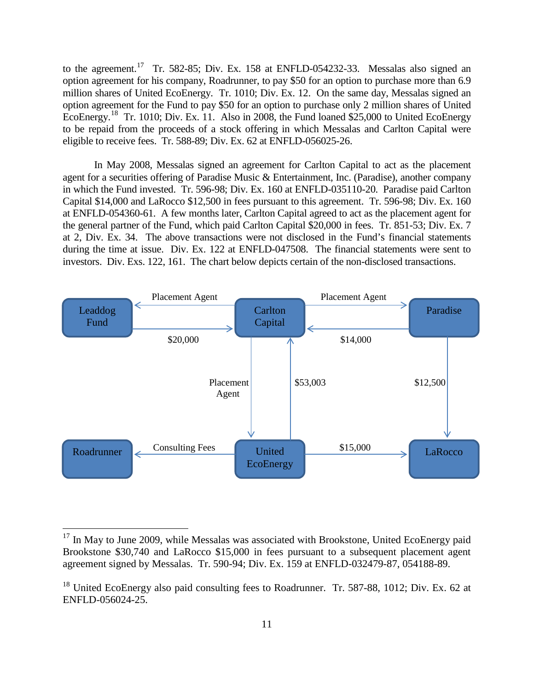to the agreement.<sup>[17](#page-10-0)</sup> Tr. 582-85; Div. Ex. 158 at ENFLD-054232-33. Messalas also signed an option agreement for his company, Roadrunner, to pay \$50 for an option to purchase more than 6.9 million shares of United EcoEnergy. Tr. 1010; Div. Ex. 12. On the same day, Messalas signed an option agreement for the Fund to pay \$50 for an option to purchase only 2 million shares of United EcoEnergy.<sup>[18](#page-10-1)</sup> Tr. 1010; Div. Ex. 11. Also in 2008, the Fund loaned \$25,000 to United EcoEnergy to be repaid from the proceeds of a stock offering in which Messalas and Carlton Capital were eligible to receive fees. Tr. 588-89; Div. Ex. 62 at ENFLD-056025-26.

In May 2008, Messalas signed an agreement for Carlton Capital to act as the placement agent for a securities offering of Paradise Music & Entertainment, Inc. (Paradise), another company in which the Fund invested. Tr. 596-98; Div. Ex. 160 at ENFLD-035110-20. Paradise paid Carlton Capital \$14,000 and LaRocco \$12,500 in fees pursuant to this agreement. Tr. 596-98; Div. Ex. 160 at ENFLD-054360-61. A few months later, Carlton Capital agreed to act as the placement agent for the general partner of the Fund, which paid Carlton Capital \$20,000 in fees. Tr. 851-53; Div. Ex. 7 at 2, Div. Ex. 34. The above transactions were not disclosed in the Fund's financial statements during the time at issue. Div. Ex. 122 at ENFLD-047508. The financial statements were sent to investors. Div. Exs. 122, 161. The chart below depicts certain of the non-disclosed transactions.



<span id="page-10-0"></span> $17$  In May to June 2009, while Messalas was associated with Brookstone, United EcoEnergy paid Brookstone \$30,740 and LaRocco \$15,000 in fees pursuant to a subsequent placement agent agreement signed by Messalas. Tr. 590-94; Div. Ex. 159 at ENFLD-032479-87, 054188-89.

<span id="page-10-1"></span> $18$  United EcoEnergy also paid consulting fees to Roadrunner. Tr. 587-88, 1012; Div. Ex. 62 at ENFLD-056024-25.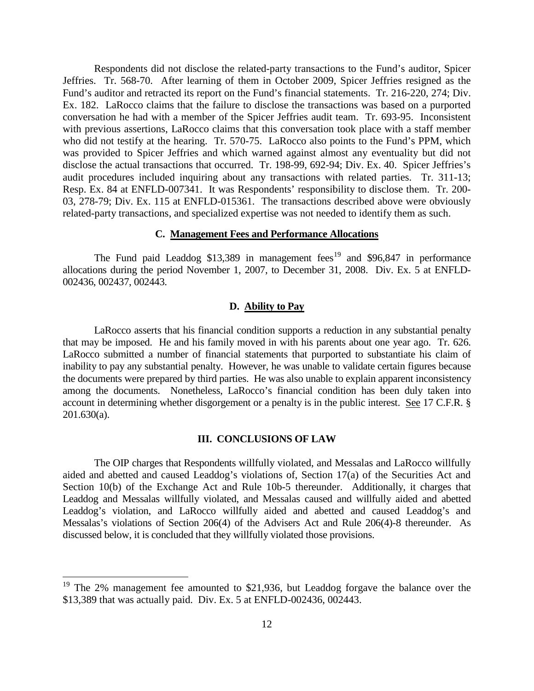Respondents did not disclose the related-party transactions to the Fund's auditor, Spicer Jeffries. Tr. 568-70. After learning of them in October 2009, Spicer Jeffries resigned as the Fund's auditor and retracted its report on the Fund's financial statements. Tr. 216-220, 274; Div. Ex. 182. LaRocco claims that the failure to disclose the transactions was based on a purported conversation he had with a member of the Spicer Jeffries audit team. Tr. 693-95. Inconsistent with previous assertions, LaRocco claims that this conversation took place with a staff member who did not testify at the hearing. Tr. 570-75. LaRocco also points to the Fund's PPM, which was provided to Spicer Jeffries and which warned against almost any eventuality but did not disclose the actual transactions that occurred. Tr. 198-99, 692-94; Div. Ex. 40. Spicer Jeffries's audit procedures included inquiring about any transactions with related parties. Tr. 311-13; Resp. Ex. 84 at ENFLD-007341. It was Respondents' responsibility to disclose them. Tr. 200- 03, 278-79; Div. Ex. 115 at ENFLD-015361. The transactions described above were obviously related-party transactions, and specialized expertise was not needed to identify them as such.

### **C. Management Fees and Performance Allocations**

The Fund paid Leaddog  $$13,389$  in management fees<sup>[19](#page-11-0)</sup> and  $$96,847$  in performance allocations during the period November 1, 2007, to December 31, 2008. Div. Ex. 5 at ENFLD-002436, 002437, 002443.

### **D. Ability to Pay**

LaRocco asserts that his financial condition supports a reduction in any substantial penalty that may be imposed. He and his family moved in with his parents about one year ago. Tr. 626. LaRocco submitted a number of financial statements that purported to substantiate his claim of inability to pay any substantial penalty. However, he was unable to validate certain figures because the documents were prepared by third parties. He was also unable to explain apparent inconsistency among the documents. Nonetheless, LaRocco's financial condition has been duly taken into account in determining whether disgorgement or a penalty is in the public interest. See 17 C.F.R. § 201.630(a).

### **III. CONCLUSIONS OF LAW**

The OIP charges that Respondents willfully violated, and Messalas and LaRocco willfully aided and abetted and caused Leaddog's violations of, Section 17(a) of the Securities Act and Section 10(b) of the Exchange Act and Rule 10b-5 thereunder. Additionally, it charges that Leaddog and Messalas willfully violated, and Messalas caused and willfully aided and abetted Leaddog's violation, and LaRocco willfully aided and abetted and caused Leaddog's and Messalas's violations of Section 206(4) of the Advisers Act and Rule 206(4)-8 thereunder. As discussed below, it is concluded that they willfully violated those provisions.

<span id="page-11-0"></span><sup>&</sup>lt;sup>19</sup> The 2% management fee amounted to \$21,936, but Leaddog forgave the balance over the \$13,389 that was actually paid. Div. Ex. 5 at ENFLD-002436, 002443.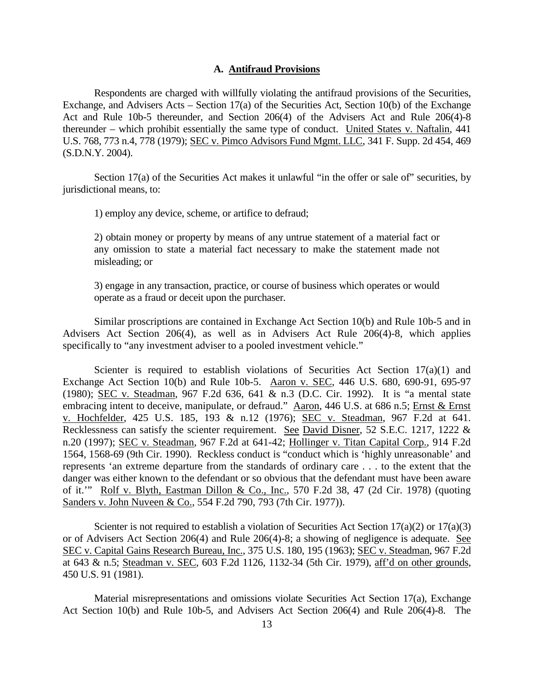#### **A. Antifraud Provisions**

Respondents are charged with willfully violating the antifraud provisions of the Securities, Exchange, and Advisers Acts – Section 17(a) of the Securities Act, Section 10(b) of the Exchange Act and Rule 10b-5 thereunder, and Section 206(4) of the Advisers Act and Rule 206(4)-8 thereunder – which prohibit essentially the same type of conduct. United States v. Naftalin, 441 U.S. 768, 773 n.4, 778 (1979); SEC v. Pimco Advisors Fund Mgmt. LLC, 341 F. Supp. 2d 454, 469 (S.D.N.Y. 2004).

Section 17(a) of the Securities Act makes it unlawful "in the offer or sale of" securities, by jurisdictional means, to:

1) employ any device, scheme, or artifice to defraud;

2) obtain money or property by means of any untrue statement of a material fact or any omission to state a material fact necessary to make the statement made not misleading; or

3) engage in any transaction, practice, or course of business which operates or would operate as a fraud or deceit upon the purchaser.

Similar proscriptions are contained in Exchange Act Section 10(b) and Rule 10b-5 and in Advisers Act Section 206(4), as well as in Advisers Act Rule 206(4)-8, which applies specifically to "any investment adviser to a pooled investment vehicle."

Scienter is required to establish violations of Securities Act Section  $17(a)(1)$  and Exchange Act Section 10(b) and Rule 10b-5. Aaron v. SEC, 446 U.S. 680, 690-91, 695-97 (1980); SEC v. Steadman, 967 F.2d 636, 641 & n.3 (D.C. Cir. 1992). It is "a mental state embracing intent to deceive, manipulate, or defraud." Aaron, 446 U.S. at 686 n.5; Ernst & Ernst v. Hochfelder, 425 U.S. 185, 193 & n.12 (1976); SEC v. Steadman, 967 F.2d at 641. Recklessness can satisfy the scienter requirement. See David Disner, 52 S.E.C. 1217, 1222 & n.20 (1997); SEC v. Steadman, 967 F.2d at 641-42; Hollinger v. Titan Capital Corp., 914 F.2d 1564, 1568-69 (9th Cir. 1990). Reckless conduct is "conduct which is 'highly unreasonable' and represents 'an extreme departure from the standards of ordinary care . . . to the extent that the danger was either known to the defendant or so obvious that the defendant must have been aware of it.'" Rolf v. Blyth, Eastman Dillon & Co., Inc., 570 F.2d 38, 47 (2d Cir. 1978) (quoting Sanders v. John Nuveen & Co., 554 F.2d 790, 793 (7th Cir. 1977)).

Scienter is not required to establish a violation of Securities Act Section  $17(a)(2)$  or  $17(a)(3)$ or of Advisers Act Section 206(4) and Rule 206(4)-8; a showing of negligence is adequate. See SEC v. Capital Gains Research Bureau, Inc., 375 U.S. 180, 195 (1963); SEC v. Steadman, 967 F.2d at 643 & n.5; Steadman v. SEC, 603 F.2d 1126, 1132-34 (5th Cir. 1979), aff'd on other grounds, 450 U.S. 91 (1981).

Material misrepresentations and omissions violate Securities Act Section 17(a), Exchange Act Section 10(b) and Rule 10b-5, and Advisers Act Section 206(4) and Rule 206(4)-8. The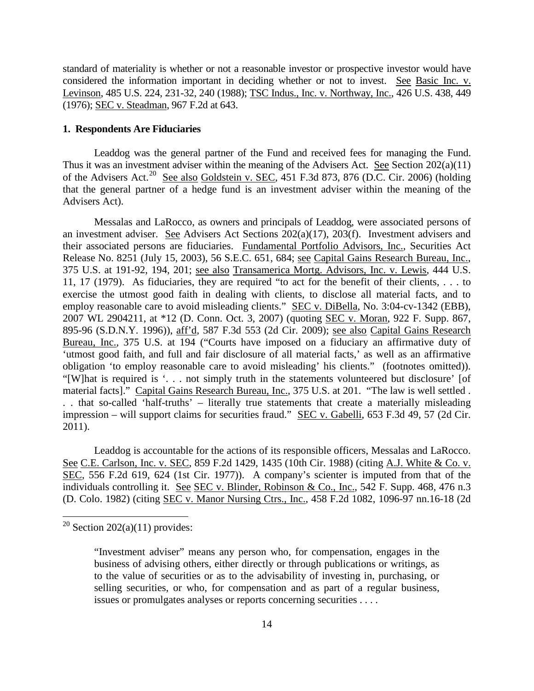standard of materiality is whether or not a reasonable investor or prospective investor would have considered the information important in deciding whether or not to invest. See Basic Inc. v. Levinson, 485 U.S. 224, 231-32, 240 (1988); TSC Indus., Inc. v. Northway, Inc., 426 U.S. 438, 449 (1976); SEC v. Steadman, 967 F.2d at 643.

#### **1. Respondents Are Fiduciaries**

Leaddog was the general partner of the Fund and received fees for managing the Fund. Thus it was an investment adviser within the meaning of the Advisers Act. See Section 202(a)(11) of the Advisers Act.<sup>[20](#page-13-0)</sup> See also Goldstein v. SEC, 451 F.3d 873, 876 (D.C. Cir. 2006) (holding that the general partner of a hedge fund is an investment adviser within the meaning of the Advisers Act).

Messalas and LaRocco, as owners and principals of Leaddog, were associated persons of an investment adviser. See Advisers Act Sections 202(a)(17), 203(f). Investment advisers and their associated persons are fiduciaries. Fundamental Portfolio Advisors, Inc., Securities Act Release No. 8251 (July 15, 2003), 56 S.E.C. 651, 684; see Capital Gains Research Bureau, Inc., 375 U.S. at 191-92, 194, 201; see also Transamerica Mortg. Advisors, Inc. v. Lewis, 444 U.S. 11, 17 (1979). As fiduciaries, they are required "to act for the benefit of their clients, . . . to exercise the utmost good faith in dealing with clients, to disclose all material facts, and to employ reasonable care to avoid misleading clients." SEC v. DiBella, No. 3:04-cv-1342 (EBB), 2007 WL 2904211, at \*12 (D. Conn. Oct. 3, 2007) (quoting SEC v. Moran, 922 F. Supp. 867, 895-96 (S.D.N.Y. 1996)), aff'd, 587 F.3d 553 (2d Cir. 2009); see also Capital Gains Research Bureau, Inc., 375 U.S. at 194 ("Courts have imposed on a fiduciary an affirmative duty of 'utmost good faith, and full and fair disclosure of all material facts,' as well as an affirmative obligation 'to employ reasonable care to avoid misleading' his clients." (footnotes omitted)). "[W]hat is required is '. . . not simply truth in the statements volunteered but disclosure' [of material facts]." Capital Gains Research Bureau, Inc., 375 U.S. at 201. "The law is well settled. . . that so-called 'half-truths' – literally true statements that create a materially misleading impression – will support claims for securities fraud." SEC v. Gabelli, 653 F.3d 49, 57 (2d Cir. 2011).

Leaddog is accountable for the actions of its responsible officers, Messalas and LaRocco. See C.E. Carlson, Inc. v. SEC, 859 F.2d 1429, 1435 (10th Cir. 1988) (citing A.J. White & Co. v. SEC, 556 F.2d 619, 624 (1st Cir. 1977)). A company's scienter is imputed from that of the individuals controlling it. See SEC v. Blinder, Robinson & Co., Inc., 542 F. Supp. 468, 476 n.3 (D. Colo. 1982) (citing SEC v. Manor Nursing Ctrs., Inc., 458 F.2d 1082, 1096-97 nn.16-18 (2d

<span id="page-13-0"></span> $20$  Section 202(a)(11) provides:

<sup>&</sup>quot;Investment adviser" means any person who, for compensation, engages in the business of advising others, either directly or through publications or writings, as to the value of securities or as to the advisability of investing in, purchasing, or selling securities, or who, for compensation and as part of a regular business, issues or promulgates analyses or reports concerning securities . . . .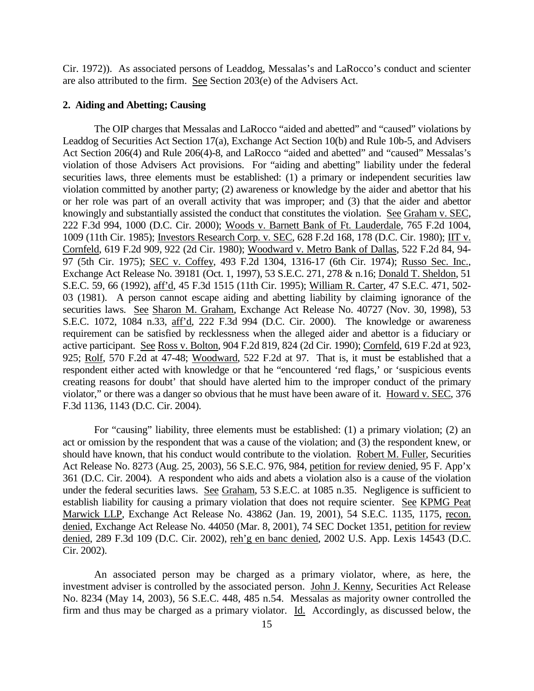Cir. 1972)). As associated persons of Leaddog, Messalas's and LaRocco's conduct and scienter are also attributed to the firm. See Section 203(e) of the Advisers Act.

## **2. Aiding and Abetting; Causing**

The OIP charges that Messalas and LaRocco "aided and abetted" and "caused" violations by Leaddog of Securities Act Section 17(a), Exchange Act Section 10(b) and Rule 10b-5, and Advisers Act Section 206(4) and Rule 206(4)-8, and LaRocco "aided and abetted" and "caused" Messalas's violation of those Advisers Act provisions. For "aiding and abetting" liability under the federal securities laws, three elements must be established: (1) a primary or independent securities law violation committed by another party; (2) awareness or knowledge by the aider and abettor that his or her role was part of an overall activity that was improper; and (3) that the aider and abettor knowingly and substantially assisted the conduct that constitutes the violation. See Graham v. SEC, 222 F.3d 994, 1000 (D.C. Cir. 2000); Woods v. Barnett Bank of Ft. Lauderdale, 765 F.2d 1004, 1009 (11th Cir. 1985); Investors Research Corp. v. SEC, 628 F.2d 168, 178 (D.C. Cir. 1980); IIT v. Cornfeld, 619 F.2d 909, 922 (2d Cir. 1980); Woodward v. Metro Bank of Dallas, 522 F.2d 84, 94- 97 (5th Cir. 1975); SEC v. Coffey, 493 F.2d 1304, 1316-17 (6th Cir. 1974); Russo Sec. Inc., Exchange Act Release No. 39181 (Oct. 1, 1997), 53 S.E.C. 271, 278 & n.16; Donald T. Sheldon, 51 S.E.C. 59, 66 (1992), aff'd, 45 F.3d 1515 (11th Cir. 1995); William R. Carter, 47 S.E.C. 471, 502- 03 (1981). A person cannot escape aiding and abetting liability by claiming ignorance of the securities laws. See Sharon M. Graham, Exchange Act Release No. 40727 (Nov. 30, 1998), 53 S.E.C. 1072, 1084 n.33, aff'd, 222 F.3d 994 (D.C. Cir. 2000). The knowledge or awareness requirement can be satisfied by recklessness when the alleged aider and abettor is a fiduciary or active participant. See Ross v. Bolton, 904 F.2d 819, 824 (2d Cir. 1990); Cornfeld, 619 F.2d at 923, 925; Rolf, 570 F.2d at 47-48; Woodward, 522 F.2d at 97. That is, it must be established that a respondent either acted with knowledge or that he "encountered 'red flags,' or 'suspicious events creating reasons for doubt' that should have alerted him to the improper conduct of the primary violator," or there was a danger so obvious that he must have been aware of it. Howard v. SEC, 376 F.3d 1136, 1143 (D.C. Cir. 2004).

For "causing" liability, three elements must be established: (1) a primary violation; (2) an act or omission by the respondent that was a cause of the violation; and (3) the respondent knew, or should have known, that his conduct would contribute to the violation. Robert M. Fuller, Securities Act Release No. 8273 (Aug. 25, 2003), 56 S.E.C. 976, 984, petition for review denied, 95 F. App'x 361 (D.C. Cir. 2004). A respondent who aids and abets a violation also is a cause of the violation under the federal securities laws. See Graham, 53 S.E.C. at 1085 n.35. Negligence is sufficient to establish liability for causing a primary violation that does not require scienter. See KPMG Peat Marwick LLP, Exchange Act Release No. 43862 (Jan. 19, 2001), 54 S.E.C. 1135, 1175, recon. denied, Exchange Act Release No. 44050 (Mar. 8, 2001), 74 SEC Docket 1351, petition for review denied, 289 F.3d 109 (D.C. Cir. 2002), reh'g en banc denied, 2002 U.S. App. Lexis 14543 (D.C. Cir. 2002).

An associated person may be charged as a primary violator, where, as here, the investment adviser is controlled by the associated person. John J. Kenny, Securities Act Release No. 8234 (May 14, 2003), 56 S.E.C. 448, 485 n.54. Messalas as majority owner controlled the firm and thus may be charged as a primary violator. Id. Accordingly, as discussed below, the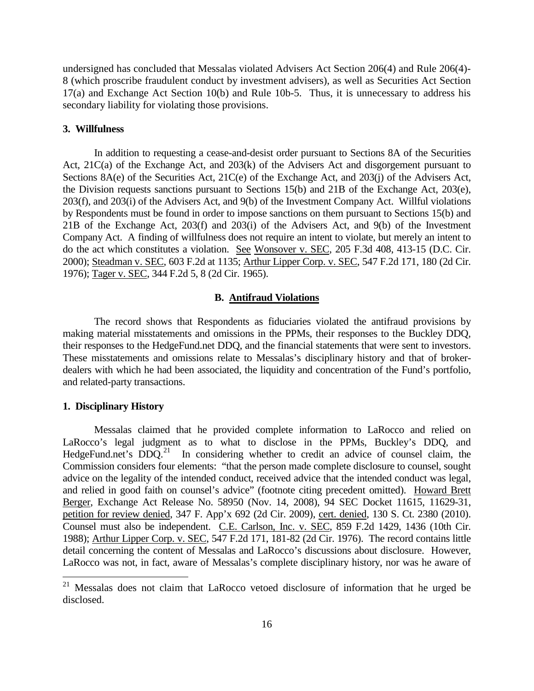undersigned has concluded that Messalas violated Advisers Act Section 206(4) and Rule 206(4)- 8 (which proscribe fraudulent conduct by investment advisers), as well as Securities Act Section 17(a) and Exchange Act Section 10(b) and Rule 10b-5. Thus, it is unnecessary to address his secondary liability for violating those provisions.

#### **3. Willfulness**

In addition to requesting a cease-and-desist order pursuant to Sections 8A of the Securities Act, 21C(a) of the Exchange Act, and 203(k) of the Advisers Act and disgorgement pursuant to Sections 8A(e) of the Securities Act, 21C(e) of the Exchange Act, and 203(j) of the Advisers Act, the Division requests sanctions pursuant to Sections 15(b) and 21B of the Exchange Act, 203(e), 203(f), and 203(i) of the Advisers Act, and 9(b) of the Investment Company Act. Willful violations by Respondents must be found in order to impose sanctions on them pursuant to Sections 15(b) and 21B of the Exchange Act, 203(f) and 203(i) of the Advisers Act, and 9(b) of the Investment Company Act. A finding of willfulness does not require an intent to violate, but merely an intent to do the act which constitutes a violation. See Wonsover v. SEC, 205 F.3d 408, 413-15 (D.C. Cir. 2000); Steadman v. SEC, 603 F.2d at 1135; Arthur Lipper Corp. v. SEC, 547 F.2d 171, 180 (2d Cir. 1976); Tager v. SEC, 344 F.2d 5, 8 (2d Cir. 1965).

## **B. Antifraud Violations**

The record shows that Respondents as fiduciaries violated the antifraud provisions by making material misstatements and omissions in the PPMs, their responses to the Buckley DDQ, their responses to the HedgeFund.net DDQ, and the financial statements that were sent to investors. These misstatements and omissions relate to Messalas's disciplinary history and that of brokerdealers with which he had been associated, the liquidity and concentration of the Fund's portfolio, and related-party transactions.

### **1. Disciplinary History**

Messalas claimed that he provided complete information to LaRocco and relied on LaRocco's legal judgment as to what to disclose in the PPMs, Buckley's DDQ, and HedgeFund.net's  $DDQ<sup>21</sup>$  In considering whether to credit an advice of counsel claim, the Commission considers four elements: "that the person made complete disclosure to counsel, sought advice on the legality of the intended conduct, received advice that the intended conduct was legal, and relied in good faith on counsel's advice" (footnote citing precedent omitted). Howard Brett Berger, Exchange Act Release No. 58950 (Nov. 14, 2008), 94 SEC Docket 11615, 11629-31, petition for review denied, 347 F. App'x 692 (2d Cir. 2009), cert. denied, 130 S. Ct. 2380 (2010). Counsel must also be independent. C.E. Carlson, Inc. v. SEC, 859 F.2d 1429, 1436 (10th Cir. 1988); Arthur Lipper Corp. v. SEC, 547 F.2d 171, 181-82 (2d Cir. 1976). The record contains little detail concerning the content of Messalas and LaRocco's discussions about disclosure. However, LaRocco was not, in fact, aware of Messalas's complete disciplinary history, nor was he aware of

<span id="page-15-0"></span> <sup>21</sup> Messalas does not claim that LaRocco vetoed disclosure of information that he urged be disclosed.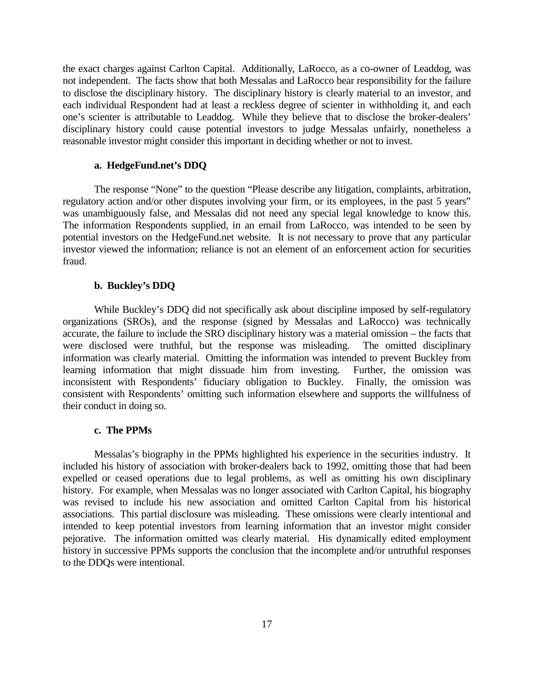the exact charges against Carlton Capital. Additionally, LaRocco, as a co-owner of Leaddog, was not independent. The facts show that both Messalas and LaRocco bear responsibility for the failure to disclose the disciplinary history. The disciplinary history is clearly material to an investor, and each individual Respondent had at least a reckless degree of scienter in withholding it, and each one's scienter is attributable to Leaddog. While they believe that to disclose the broker-dealers' disciplinary history could cause potential investors to judge Messalas unfairly, nonetheless a reasonable investor might consider this important in deciding whether or not to invest.

## **a. HedgeFund.net's DDQ**

The response "None" to the question "Please describe any litigation, complaints, arbitration, regulatory action and/or other disputes involving your firm, or its employees, in the past 5 years" was unambiguously false, and Messalas did not need any special legal knowledge to know this. The information Respondents supplied, in an email from LaRocco, was intended to be seen by potential investors on the HedgeFund.net website. It is not necessary to prove that any particular investor viewed the information; reliance is not an element of an enforcement action for securities fraud.

#### **b. Buckley's DDQ**

While Buckley's DDQ did not specifically ask about discipline imposed by self-regulatory organizations (SROs), and the response (signed by Messalas and LaRocco) was technically accurate, the failure to include the SRO disciplinary history was a material omission – the facts that were disclosed were truthful, but the response was misleading. The omitted disciplinary information was clearly material. Omitting the information was intended to prevent Buckley from learning information that might dissuade him from investing. Further, the omission was inconsistent with Respondents' fiduciary obligation to Buckley. Finally, the omission was consistent with Respondents' omitting such information elsewhere and supports the willfulness of their conduct in doing so.

#### **c. The PPMs**

Messalas's biography in the PPMs highlighted his experience in the securities industry. It included his history of association with broker-dealers back to 1992, omitting those that had been expelled or ceased operations due to legal problems, as well as omitting his own disciplinary history. For example, when Messalas was no longer associated with Carlton Capital, his biography was revised to include his new association and omitted Carlton Capital from his historical associations. This partial disclosure was misleading. These omissions were clearly intentional and intended to keep potential investors from learning information that an investor might consider pejorative. The information omitted was clearly material. His dynamically edited employment history in successive PPMs supports the conclusion that the incomplete and/or untruthful responses to the DDQs were intentional.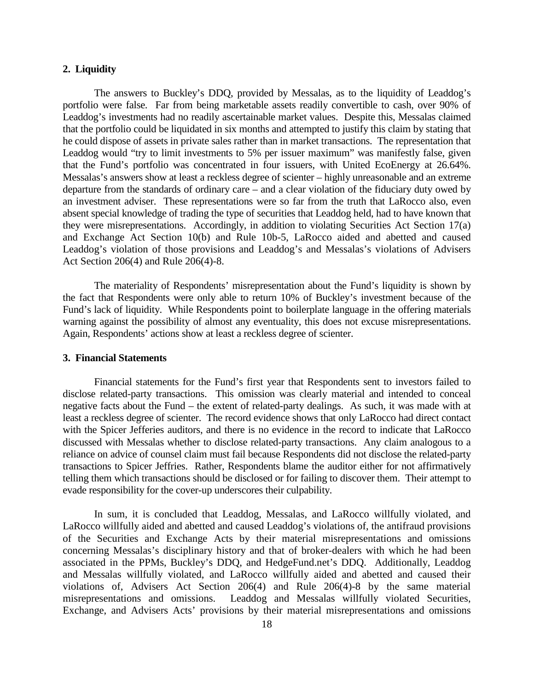#### **2. Liquidity**

The answers to Buckley's DDQ, provided by Messalas, as to the liquidity of Leaddog's portfolio were false. Far from being marketable assets readily convertible to cash, over 90% of Leaddog's investments had no readily ascertainable market values. Despite this, Messalas claimed that the portfolio could be liquidated in six months and attempted to justify this claim by stating that he could dispose of assets in private sales rather than in market transactions. The representation that Leaddog would "try to limit investments to 5% per issuer maximum" was manifestly false, given that the Fund's portfolio was concentrated in four issuers, with United EcoEnergy at 26.64%. Messalas's answers show at least a reckless degree of scienter – highly unreasonable and an extreme departure from the standards of ordinary care – and a clear violation of the fiduciary duty owed by an investment adviser. These representations were so far from the truth that LaRocco also, even absent special knowledge of trading the type of securities that Leaddog held, had to have known that they were misrepresentations. Accordingly, in addition to violating Securities Act Section 17(a) and Exchange Act Section 10(b) and Rule 10b-5, LaRocco aided and abetted and caused Leaddog's violation of those provisions and Leaddog's and Messalas's violations of Advisers Act Section 206(4) and Rule 206(4)-8.

The materiality of Respondents' misrepresentation about the Fund's liquidity is shown by the fact that Respondents were only able to return 10% of Buckley's investment because of the Fund's lack of liquidity. While Respondents point to boilerplate language in the offering materials warning against the possibility of almost any eventuality, this does not excuse misrepresentations. Again, Respondents' actions show at least a reckless degree of scienter.

## **3. Financial Statements**

Financial statements for the Fund's first year that Respondents sent to investors failed to disclose related-party transactions. This omission was clearly material and intended to conceal negative facts about the Fund – the extent of related-party dealings. As such, it was made with at least a reckless degree of scienter. The record evidence shows that only LaRocco had direct contact with the Spicer Jefferies auditors, and there is no evidence in the record to indicate that LaRocco discussed with Messalas whether to disclose related-party transactions. Any claim analogous to a reliance on advice of counsel claim must fail because Respondents did not disclose the related-party transactions to Spicer Jeffries. Rather, Respondents blame the auditor either for not affirmatively telling them which transactions should be disclosed or for failing to discover them. Their attempt to evade responsibility for the cover-up underscores their culpability.

In sum, it is concluded that Leaddog, Messalas, and LaRocco willfully violated, and LaRocco willfully aided and abetted and caused Leaddog's violations of, the antifraud provisions of the Securities and Exchange Acts by their material misrepresentations and omissions concerning Messalas's disciplinary history and that of broker-dealers with which he had been associated in the PPMs, Buckley's DDQ, and HedgeFund.net's DDQ. Additionally, Leaddog and Messalas willfully violated, and LaRocco willfully aided and abetted and caused their violations of, Advisers Act Section 206(4) and Rule 206(4)-8 by the same material misrepresentations and omissions. Leaddog and Messalas willfully violated Securities, Exchange, and Advisers Acts' provisions by their material misrepresentations and omissions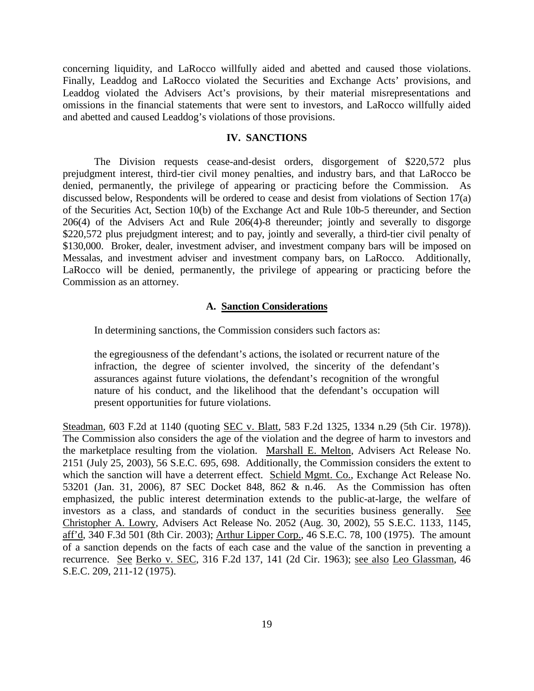concerning liquidity, and LaRocco willfully aided and abetted and caused those violations. Finally, Leaddog and LaRocco violated the Securities and Exchange Acts' provisions, and Leaddog violated the Advisers Act's provisions, by their material misrepresentations and omissions in the financial statements that were sent to investors, and LaRocco willfully aided and abetted and caused Leaddog's violations of those provisions.

#### **IV. SANCTIONS**

The Division requests cease-and-desist orders, disgorgement of \$220,572 plus prejudgment interest, third-tier civil money penalties, and industry bars, and that LaRocco be denied, permanently, the privilege of appearing or practicing before the Commission. As discussed below, Respondents will be ordered to cease and desist from violations of Section 17(a) of the Securities Act, Section 10(b) of the Exchange Act and Rule 10b-5 thereunder, and Section 206(4) of the Advisers Act and Rule 206(4)-8 thereunder; jointly and severally to disgorge \$220,572 plus prejudgment interest; and to pay, jointly and severally, a third-tier civil penalty of \$130,000. Broker, dealer, investment adviser, and investment company bars will be imposed on Messalas, and investment adviser and investment company bars, on LaRocco. Additionally, LaRocco will be denied, permanently, the privilege of appearing or practicing before the Commission as an attorney.

## **A. Sanction Considerations**

In determining sanctions, the Commission considers such factors as:

the egregiousness of the defendant's actions, the isolated or recurrent nature of the infraction, the degree of scienter involved, the sincerity of the defendant's assurances against future violations, the defendant's recognition of the wrongful nature of his conduct, and the likelihood that the defendant's occupation will present opportunities for future violations.

Steadman, 603 F.2d at 1140 (quoting SEC v. Blatt, 583 F.2d 1325, 1334 n.29 (5th Cir. 1978)). The Commission also considers the age of the violation and the degree of harm to investors and the marketplace resulting from the violation. Marshall E. Melton, Advisers Act Release No. 2151 (July 25, 2003), 56 S.E.C. 695, 698. Additionally, the Commission considers the extent to which the sanction will have a deterrent effect. Schield Mgmt. Co., Exchange Act Release No. 53201 (Jan. 31, 2006), 87 SEC Docket 848, 862 & n.46. As the Commission has often emphasized, the public interest determination extends to the public-at-large, the welfare of investors as a class, and standards of conduct in the securities business generally. See Christopher A. Lowry, Advisers Act Release No. 2052 (Aug. 30, 2002), 55 S.E.C. 1133, 1145, aff'd, 340 F.3d 501 (8th Cir. 2003); Arthur Lipper Corp., 46 S.E.C. 78, 100 (1975). The amount of a sanction depends on the facts of each case and the value of the sanction in preventing a recurrence. See Berko v. SEC, 316 F.2d 137, 141 (2d Cir. 1963); see also Leo Glassman, 46 S.E.C. 209, 211-12 (1975).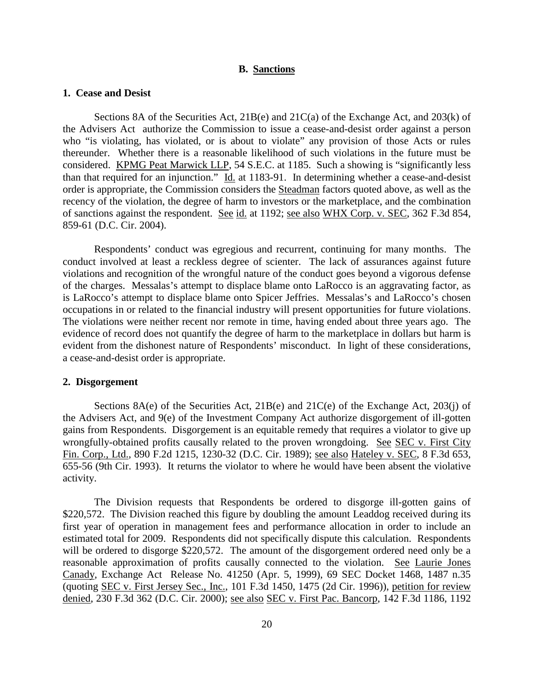## **B. Sanctions**

### **1. Cease and Desist**

Sections 8A of the Securities Act,  $21B(e)$  and  $21C(a)$  of the Exchange Act, and  $203(k)$  of the Advisers Act authorize the Commission to issue a cease-and-desist order against a person who "is violating, has violated, or is about to violate" any provision of those Acts or rules thereunder. Whether there is a reasonable likelihood of such violations in the future must be considered. KPMG Peat Marwick LLP, 54 S.E.C. at 1185. Such a showing is "significantly less than that required for an injunction." Id. at 1183-91. In determining whether a cease-and-desist order is appropriate, the Commission considers the Steadman factors quoted above, as well as the recency of the violation, the degree of harm to investors or the marketplace, and the combination of sanctions against the respondent. See id. at 1192; see also WHX Corp. v. SEC, 362 F.3d 854, 859-61 (D.C. Cir. 2004).

Respondents' conduct was egregious and recurrent, continuing for many months. The conduct involved at least a reckless degree of scienter. The lack of assurances against future violations and recognition of the wrongful nature of the conduct goes beyond a vigorous defense of the charges. Messalas's attempt to displace blame onto LaRocco is an aggravating factor, as is LaRocco's attempt to displace blame onto Spicer Jeffries. Messalas's and LaRocco's chosen occupations in or related to the financial industry will present opportunities for future violations. The violations were neither recent nor remote in time, having ended about three years ago. The evidence of record does not quantify the degree of harm to the marketplace in dollars but harm is evident from the dishonest nature of Respondents' misconduct. In light of these considerations, a cease-and-desist order is appropriate.

#### **2. Disgorgement**

Sections  $8A(e)$  of the Securities Act,  $21B(e)$  and  $21C(e)$  of the Exchange Act,  $203(i)$  of the Advisers Act, and 9(e) of the Investment Company Act authorize disgorgement of ill-gotten gains from Respondents. Disgorgement is an equitable remedy that requires a violator to give up wrongfully-obtained profits causally related to the proven wrongdoing. See SEC v. First City Fin. Corp., Ltd., 890 F.2d 1215, 1230-32 (D.C. Cir. 1989); see also Hateley v. SEC, 8 F.3d 653, 655-56 (9th Cir. 1993). It returns the violator to where he would have been absent the violative activity.

The Division requests that Respondents be ordered to disgorge ill-gotten gains of \$220,572. The Division reached this figure by doubling the amount Leaddog received during its first year of operation in management fees and performance allocation in order to include an estimated total for 2009. Respondents did not specifically dispute this calculation. Respondents will be ordered to disgorge \$220,572. The amount of the disgorgement ordered need only be a reasonable approximation of profits causally connected to the violation. See Laurie Jones Canady, Exchange Act Release No. 41250 (Apr. 5, 1999), 69 SEC Docket 1468, 1487 n.35 (quoting SEC v. First Jersey Sec., Inc., 101 F.3d 1450, 1475 (2d Cir. 1996)), petition for review denied, 230 F.3d 362 (D.C. Cir. 2000); <u>see also SEC v. First Pac. Bancorp</u>, 142 F.3d 1186, 1192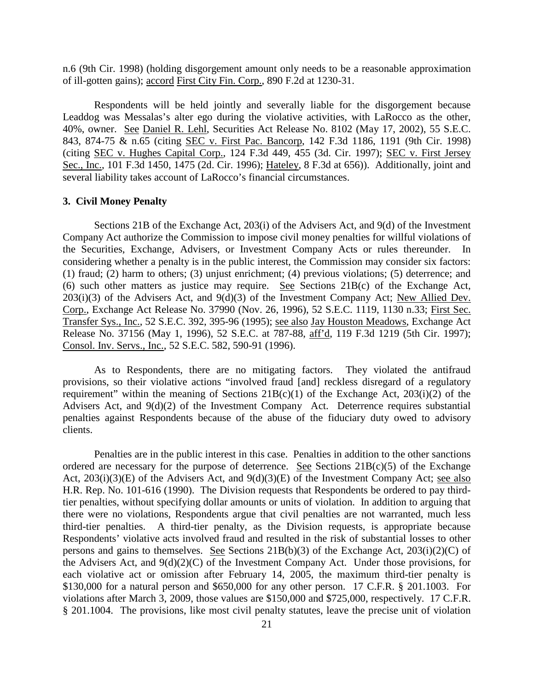n.6 (9th Cir. 1998) (holding disgorgement amount only needs to be a reasonable approximation of ill-gotten gains); accord First City Fin. Corp., 890 F.2d at 1230-31.

Respondents will be held jointly and severally liable for the disgorgement because Leaddog was Messalas's alter ego during the violative activities, with LaRocco as the other, 40%, owner. See Daniel R. Lehl, Securities Act Release No. 8102 (May 17, 2002), 55 S.E.C. 843, 874-75 & n.65 (citing SEC v. First Pac. Bancorp, 142 F.3d 1186, 1191 (9th Cir. 1998) (citing SEC v. Hughes Capital Corp., 124 F.3d 449, 455 (3d. Cir. 1997); SEC v. First Jersey Sec., Inc., 101 F.3d 1450, 1475 (2d. Cir. 1996); Hateley, 8 F.3d at 656)). Additionally, joint and several liability takes account of LaRocco's financial circumstances.

## **3. Civil Money Penalty**

Sections 21B of the Exchange Act, 203(i) of the Advisers Act, and 9(d) of the Investment Company Act authorize the Commission to impose civil money penalties for willful violations of the Securities, Exchange, Advisers, or Investment Company Acts or rules thereunder. In considering whether a penalty is in the public interest, the Commission may consider six factors: (1) fraud; (2) harm to others; (3) unjust enrichment; (4) previous violations; (5) deterrence; and (6) such other matters as justice may require. See Sections 21B(c) of the Exchange Act,  $203(i)(3)$  of the Advisers Act, and  $9(d)(3)$  of the Investment Company Act; New Allied Dev. Corp., Exchange Act Release No. 37990 (Nov. 26, 1996), 52 S.E.C. 1119, 1130 n.33; First Sec. Transfer Sys., Inc., 52 S.E.C. 392, 395-96 (1995); see also Jay Houston Meadows, Exchange Act Release No. 37156 (May 1, 1996), 52 S.E.C. at 787-88, aff'd, 119 F.3d 1219 (5th Cir. 1997); Consol. Inv. Servs., Inc., 52 S.E.C. 582, 590-91 (1996).

As to Respondents, there are no mitigating factors. They violated the antifraud provisions, so their violative actions "involved fraud [and] reckless disregard of a regulatory requirement" within the meaning of Sections  $21B(c)(1)$  of the Exchange Act,  $203(i)(2)$  of the Advisers Act, and 9(d)(2) of the Investment Company Act. Deterrence requires substantial penalties against Respondents because of the abuse of the fiduciary duty owed to advisory clients.

Penalties are in the public interest in this case. Penalties in addition to the other sanctions ordered are necessary for the purpose of deterrence. See Sections  $21B(c)(5)$  of the Exchange Act,  $203(i)(3)(E)$  of the Advisers Act, and  $9(d)(3)(E)$  of the Investment Company Act; see also H.R. Rep. No. 101-616 (1990). The Division requests that Respondents be ordered to pay thirdtier penalties, without specifying dollar amounts or units of violation. In addition to arguing that there were no violations, Respondents argue that civil penalties are not warranted, much less third-tier penalties. A third-tier penalty, as the Division requests, is appropriate because Respondents' violative acts involved fraud and resulted in the risk of substantial losses to other persons and gains to themselves. See Sections 21B(b)(3) of the Exchange Act, 203(i)(2)(C) of the Advisers Act, and  $9(d)(2)(C)$  of the Investment Company Act. Under those provisions, for each violative act or omission after February 14, 2005, the maximum third-tier penalty is \$130,000 for a natural person and \$650,000 for any other person. 17 C.F.R. § 201.1003. For violations after March 3, 2009, those values are \$150,000 and \$725,000, respectively. 17 C.F.R. § 201.1004. The provisions, like most civil penalty statutes, leave the precise unit of violation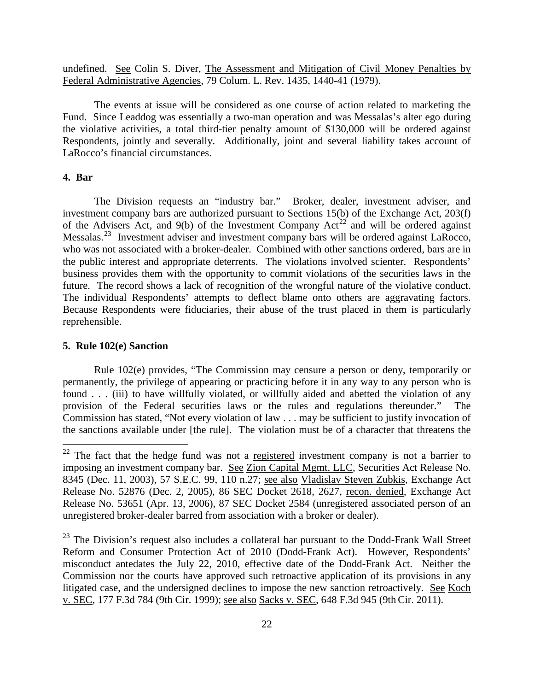undefined. See Colin S. Diver, The Assessment and Mitigation of Civil Money Penalties by Federal Administrative Agencies, 79 Colum. L. Rev. 1435, 1440-41 (1979).

The events at issue will be considered as one course of action related to marketing the Fund. Since Leaddog was essentially a two-man operation and was Messalas's alter ego during the violative activities, a total third-tier penalty amount of \$130,000 will be ordered against Respondents, jointly and severally. Additionally, joint and several liability takes account of LaRocco's financial circumstances.

## **4. Bar**

The Division requests an "industry bar." Broker, dealer, investment adviser, and investment company bars are authorized pursuant to Sections 15(b) of the Exchange Act, 203(f) of the Advisers Act, and  $9(b)$  of the Investment Company Act<sup>[22](#page-21-0)</sup> and will be ordered against Messalas.<sup>23</sup> Investment adviser and investment company bars will be ordered against LaRocco, who was not associated with a broker-dealer. Combined with other sanctions ordered, bars are in the public interest and appropriate deterrents. The violations involved scienter. Respondents' business provides them with the opportunity to commit violations of the securities laws in the future. The record shows a lack of recognition of the wrongful nature of the violative conduct. The individual Respondents' attempts to deflect blame onto others are aggravating factors. Because Respondents were fiduciaries, their abuse of the trust placed in them is particularly reprehensible.

#### **5. Rule 102(e) Sanction**

Rule 102(e) provides, "The Commission may censure a person or deny, temporarily or permanently, the privilege of appearing or practicing before it in any way to any person who is found . . . (iii) to have willfully violated, or willfully aided and abetted the violation of any provision of the Federal securities laws or the rules and regulations thereunder." The Commission has stated, "Not every violation of law . . . may be sufficient to justify invocation of the sanctions available under [the rule]. The violation must be of a character that threatens the

<span id="page-21-0"></span> $22$  The fact that the hedge fund was not a registered investment company is not a barrier to imposing an investment company bar. See Zion Capital Mgmt. LLC, Securities Act Release No. 8345 (Dec. 11, 2003), 57 S.E.C. 99, 110 n.27; see also Vladislav Steven Zubkis, Exchange Act Release No. 52876 (Dec. 2, 2005), 86 SEC Docket 2618, 2627, recon. denied, Exchange Act Release No. 53651 (Apr. 13, 2006), 87 SEC Docket 2584 (unregistered associated person of an unregistered broker-dealer barred from association with a broker or dealer).

<span id="page-21-1"></span> $23$  The Division's request also includes a collateral bar pursuant to the Dodd-Frank Wall Street Reform and Consumer Protection Act of 2010 (Dodd-Frank Act). However, Respondents' misconduct antedates the July 22, 2010, effective date of the Dodd-Frank Act. Neither the Commission nor the courts have approved such retroactive application of its provisions in any litigated case, and the undersigned declines to impose the new sanction retroactively. See Koch v. SEC, 177 F.3d 784 (9th Cir. 1999); see also Sacks v. SEC, 648 F.3d 945 (9th Cir. 2011).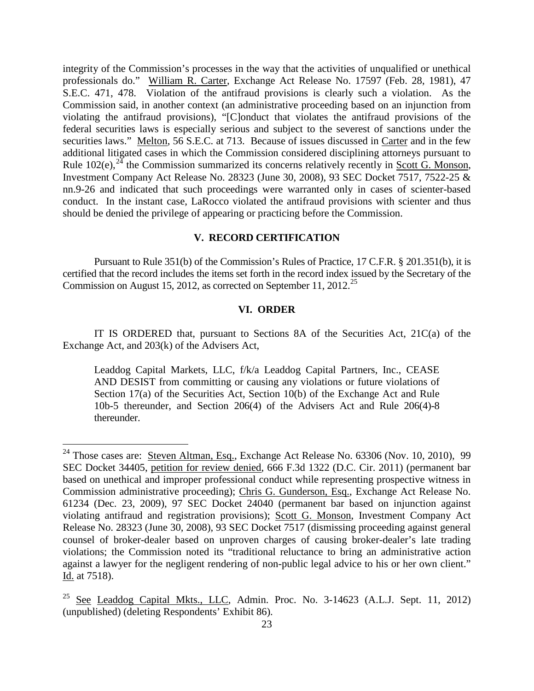integrity of the Commission's processes in the way that the activities of unqualified or unethical professionals do." William R. Carter, Exchange Act Release No. 17597 (Feb. 28, 1981), 47 S.E.C. 471, 478. Violation of the antifraud provisions is clearly such a violation. As the Commission said, in another context (an administrative proceeding based on an injunction from violating the antifraud provisions), "[C]onduct that violates the antifraud provisions of the federal securities laws is especially serious and subject to the severest of sanctions under the securities laws." Melton, 56 S.E.C. at 713. Because of issues discussed in Carter and in the few additional litigated cases in which the Commission considered disciplining attorneys pursuant to Rule 102(e),  $^{24}$  $^{24}$  $^{24}$  the Commission summarized its concerns relatively recently in Scott G. Monson, Investment Company Act Release No. 28323 (June 30, 2008), 93 SEC Docket 7517, 7522-25 & nn.9-26 and indicated that such proceedings were warranted only in cases of scienter-based conduct. In the instant case, LaRocco violated the antifraud provisions with scienter and thus should be denied the privilege of appearing or practicing before the Commission.

# **V. RECORD CERTIFICATION**

Pursuant to Rule 351(b) of the Commission's Rules of Practice, 17 C.F.R. § 201.351(b), it is certified that the record includes the items set forth in the record index issued by the Secretary of the Commission on August 15, 2012, as corrected on September 11, 2012.<sup>[25](#page-22-1)</sup>

## **VI. ORDER**

IT IS ORDERED that, pursuant to Sections 8A of the Securities Act,  $21C(a)$  of the Exchange Act, and 203(k) of the Advisers Act,

Leaddog Capital Markets, LLC, f/k/a Leaddog Capital Partners, Inc., CEASE AND DESIST from committing or causing any violations or future violations of Section 17(a) of the Securities Act, Section 10(b) of the Exchange Act and Rule 10b-5 thereunder, and Section 206(4) of the Advisers Act and Rule 206(4)-8 thereunder.

<span id="page-22-0"></span><sup>&</sup>lt;sup>24</sup> Those cases are: Steven Altman, **Esq.**, Exchange Act Release No. 63306 (Nov. 10, 2010), 99 SEC Docket 34405, petition for review denied, 666 F.3d 1322 (D.C. Cir. 2011) (permanent bar based on unethical and improper professional conduct while representing prospective witness in Commission administrative proceeding); Chris G. Gunderson, Esq., Exchange Act Release No. 61234 (Dec. 23, 2009), 97 SEC Docket 24040 (permanent bar based on injunction against violating antifraud and registration provisions); Scott G. Monson, Investment Company Act Release No. 28323 (June 30, 2008), 93 SEC Docket 7517 (dismissing proceeding against general counsel of broker-dealer based on unproven charges of causing broker-dealer's late trading violations; the Commission noted its "traditional reluctance to bring an administrative action against a lawyer for the negligent rendering of non-public legal advice to his or her own client." Id. at 7518).

<span id="page-22-1"></span> $25$  See Leaddog Capital Mkts., LLC, Admin. Proc. No. 3-14623 (A.L.J. Sept. 11, 2012) (unpublished) (deleting Respondents' Exhibit 86).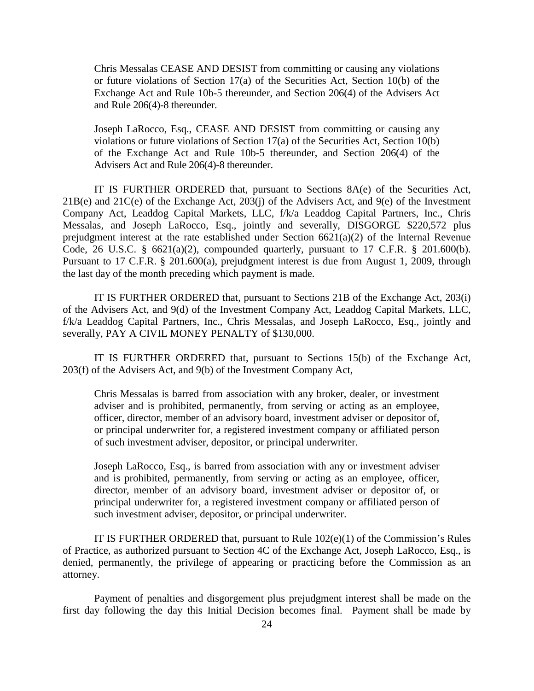Chris Messalas CEASE AND DESIST from committing or causing any violations or future violations of Section 17(a) of the Securities Act, Section 10(b) of the Exchange Act and Rule 10b-5 thereunder, and Section 206(4) of the Advisers Act and Rule 206(4)-8 thereunder.

Joseph LaRocco, Esq., CEASE AND DESIST from committing or causing any violations or future violations of Section 17(a) of the Securities Act, Section 10(b) of the Exchange Act and Rule 10b-5 thereunder, and Section 206(4) of the Advisers Act and Rule 206(4)-8 thereunder.

IT IS FURTHER ORDERED that, pursuant to Sections 8A(e) of the Securities Act, 21B(e) and 21C(e) of the Exchange Act, 203(j) of the Advisers Act, and 9(e) of the Investment Company Act, Leaddog Capital Markets, LLC, f/k/a Leaddog Capital Partners, Inc., Chris Messalas, and Joseph LaRocco, Esq., jointly and severally, DISGORGE \$220,572 plus prejudgment interest at the rate established under Section  $6621(a)(2)$  of the Internal Revenue Code, 26 U.S.C. § 6621(a)(2), compounded quarterly, pursuant to 17 C.F.R. § 201.600(b). Pursuant to 17 C.F.R. § 201.600(a), prejudgment interest is due from August 1, 2009, through the last day of the month preceding which payment is made.

IT IS FURTHER ORDERED that, pursuant to Sections 21B of the Exchange Act, 203(i) of the Advisers Act, and 9(d) of the Investment Company Act, Leaddog Capital Markets, LLC, f/k/a Leaddog Capital Partners, Inc., Chris Messalas, and Joseph LaRocco, Esq., jointly and severally, PAY A CIVIL MONEY PENALTY of \$130,000.

IT IS FURTHER ORDERED that, pursuant to Sections 15(b) of the Exchange Act, 203(f) of the Advisers Act, and 9(b) of the Investment Company Act,

Chris Messalas is barred from association with any broker, dealer, or investment adviser and is prohibited, permanently, from serving or acting as an employee, officer, director, member of an advisory board, investment adviser or depositor of, or principal underwriter for, a registered investment company or affiliated person of such investment adviser, depositor, or principal underwriter.

Joseph LaRocco, Esq., is barred from association with any or investment adviser and is prohibited, permanently, from serving or acting as an employee, officer, director, member of an advisory board, investment adviser or depositor of, or principal underwriter for, a registered investment company or affiliated person of such investment adviser, depositor, or principal underwriter.

IT IS FURTHER ORDERED that, pursuant to Rule 102(e)(1) of the Commission's Rules of Practice, as authorized pursuant to Section 4C of the Exchange Act, Joseph LaRocco, Esq., is denied, permanently, the privilege of appearing or practicing before the Commission as an attorney.

Payment of penalties and disgorgement plus prejudgment interest shall be made on the first day following the day this Initial Decision becomes final. Payment shall be made by